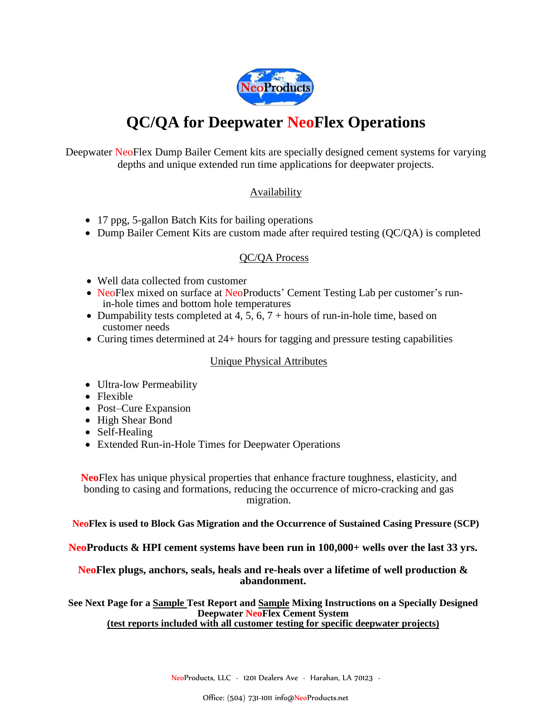

# **QC/QA for Deepwater NeoFlex Operations**

Deepwater NeoFlex Dump Bailer Cement kits are specially designed cement systems for varying depths and unique extended run time applications for deepwater projects.

#### **Availability**

- 17 ppg, 5-gallon Batch Kits for bailing operations
- Dump Bailer Cement Kits are custom made after required testing (QC/QA) is completed

#### QC/QA Process

- Well data collected from customer
- NeoFlex mixed on surface at NeoProducts' Cement Testing Lab per customer's runin-hole times and bottom hole temperatures
- Dumpability tests completed at 4, 5, 6,  $7 +$  hours of run-in-hole time, based on customer needs
- Curing times determined at 24+ hours for tagging and pressure testing capabilities

#### Unique Physical Attributes

- Ultra-low Permeability
- Flexible
- Post–Cure Expansion
- High Shear Bond
- Self-Healing
- Extended Run-in-Hole Times for Deepwater Operations

**Neo**Flex has unique physical properties that enhance fracture toughness, elasticity, and bonding to casing and formations, reducing the occurrence of micro-cracking and gas migration.

**NeoFlex is used to Block Gas Migration and the Occurrence of Sustained Casing Pressure (SCP)**

**NeoProducts & HPI cement systems have been run in 100,000+ wells over the last 33 yrs.**

#### **NeoFlex plugs, anchors, seals, heals and re-heals over a lifetime of well production & abandonment.**

**See Next Page for a Sample Test Report and Sample Mixing Instructions on a Specially Designed Deepwater NeoFlex Cement System (test reports included with all customer testing for specific deepwater projects)**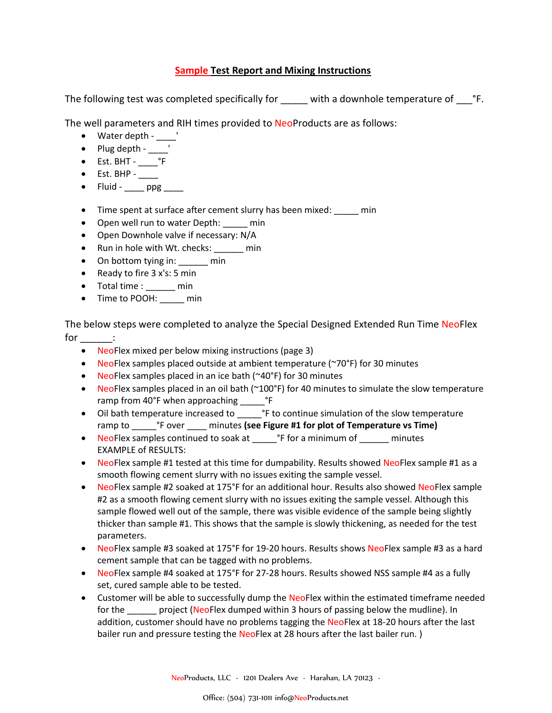#### **Sample Test Report and Mixing Instructions**

The following test was completed specifically for \_\_\_\_\_ with a downhole temperature of \_\_\_\_\_\_°F.

The well parameters and RIH times provided to NeoProducts are as follows:

- Water depth '
- $\bullet$  Plug depth - $\_\_$
- $\bullet$  Est. BHT  $^{\circ}$ F
- $\bullet$  Est. BHP -
- $\bullet$  Fluid ppg
- Time spent at surface after cement slurry has been mixed: \_\_\_\_\_ min
- Open well run to water Depth: \_\_\_\_\_ min
- Open Downhole valve if necessary: N/A
- Run in hole with Wt. checks: \_\_\_\_\_\_ min
- On bottom tying in: \_\_\_\_\_\_\_ min
- Ready to fire  $3x's: 5 min$
- Total time : \_\_\_\_\_\_ min
- Time to POOH: \_\_\_\_\_ min

The below steps were completed to analyze the Special Designed Extended Run Time NeoFlex for  $\rule{1em}{0.15mm}$  :

- NeoFlex mixed per below mixing instructions (page 3)
- NeoFlex samples placed outside at ambient temperature (~70°F) for 30 minutes
- NeoFlex samples placed in an ice bath (~40°F) for 30 minutes
- NeoFlex samples placed in an oil bath ( $\sim$ 100°F) for 40 minutes to simulate the slow temperature ramp from 40°F when approaching \_\_\_\_\_°F
- Oil bath temperature increased to \_\_\_\_\_\_ °F to continue simulation of the slow temperature ramp to \_\_\_\_\_°F over \_\_\_\_ minutes **(see Figure #1 for plot of Temperature vs Time)**
- NeoFlex samples continued to soak at \_\_\_\_\_\_\_ °F for a minimum of \_\_\_\_\_\_\_ minutes EXAMPLE of RESULTS:
- NeoFlex sample #1 tested at this time for dumpability. Results showed NeoFlex sample #1 as a smooth flowing cement slurry with no issues exiting the sample vessel.
- NeoFlex sample #2 soaked at 175°F for an additional hour. Results also showed NeoFlex sample #2 as a smooth flowing cement slurry with no issues exiting the sample vessel. Although this sample flowed well out of the sample, there was visible evidence of the sample being slightly thicker than sample #1. This shows that the sample is slowly thickening, as needed for the test parameters.
- NeoFlex sample #3 soaked at 175°F for 19-20 hours. Results shows NeoFlex sample #3 as a hard cement sample that can be tagged with no problems.
- NeoFlex sample #4 soaked at 175°F for 27-28 hours. Results showed NSS sample #4 as a fully set, cured sample able to be tested.
- Customer will be able to successfully dump the NeoFlex within the estimated timeframe needed for the project (NeoFlex dumped within 3 hours of passing below the mudline). In addition, customer should have no problems tagging the NeoFlex at 18-20 hours after the last bailer run and pressure testing the NeoFlex at 28 hours after the last bailer run.)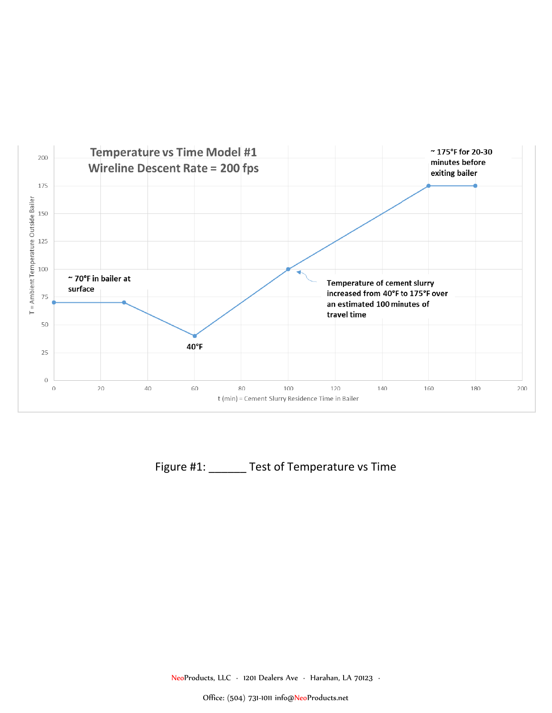

Figure #1: \_\_\_\_\_\_ Test of Temperature vs Time

NeoProducts, LLC ∙ 1201 Dealers Ave ∙ Harahan, LA 70123 ∙